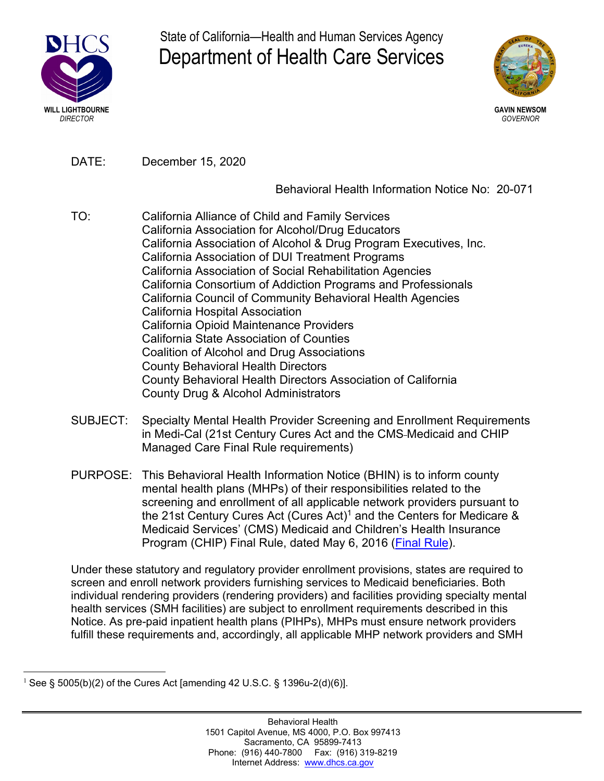

State of California—Health and Human Services Agency Department of Health Care Services



DATE: December 15, 2020

# Behavioral Health Information Notice No: 20-071

- TO: California Alliance of Child and Family Services California Association for Alcohol/Drug Educators California Association of Alcohol & Drug Program Executives, Inc. California Association of DUI Treatment Programs California Association of Social Rehabilitation Agencies California Consortium of Addiction Programs and Professionals California Council of Community Behavioral Health Agencies California Hospital Association California Opioid Maintenance Providers California State Association of Counties Coalition of Alcohol and Drug Associations County Behavioral Health Directors County Behavioral Health Directors Association of California County Drug & Alcohol Administrators
- SUBJECT: Specialty Mental Health Provider Screening and Enrollment Requirements in Medi-Cal (21st Century Cures Act and the CMS Medicaid and CHIP Managed Care Final Rule requirements)
- PURPOSE: This Behavioral Health Information Notice (BHIN) is to inform county mental health plans (MHPs) of their responsibilities related to the screening and enrollment of all applicable network providers pursuant to the 21st Century Cures Act (Cures Act)<sup>1</sup> and the Centers for Medicare  $\&$ Medicaid Services' (CMS) Medicaid and Children's Health Insurance Program (CHIP) Final Rule, dated May 6, 2016 (Final Rule).

Under these statutory and regulatory provider enrollment provisions, states are required to screen and enroll network providers furnishing services to Medicaid beneficiaries. Both individual rendering providers (rendering providers) and facilities providing specialty mental health services (SMH facilities) are subject to enrollment requirements described in this Notice. As pre-paid inpatient health plans (PIHPs), MHPs must ensure network providers fulfill these requirements and, accordingly, all applicable MHP network providers and SMH

 $1$  See § 5005(b)(2) of the Cures Act [amending 42 U.S.C. § 1396u-2(d)(6)].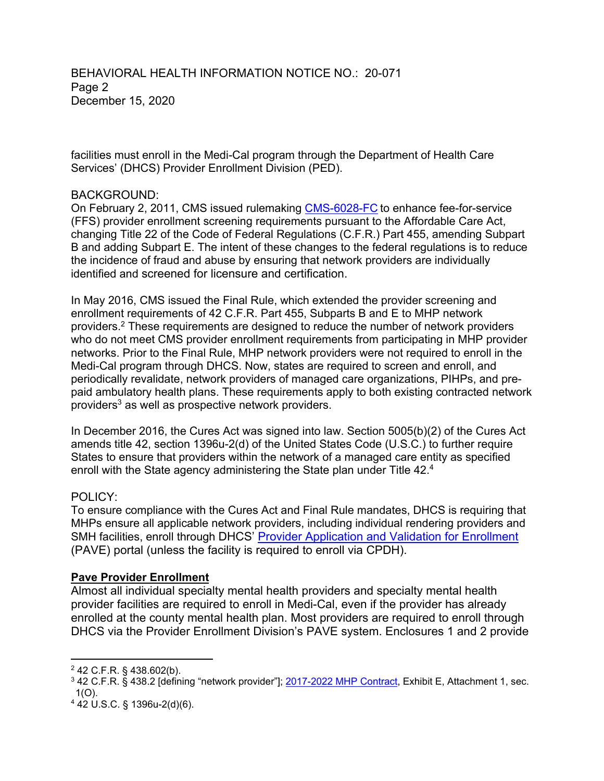BEHAVIORAL HEALTH INFORMATION NOTICE NO.: 20-071 Page 2 December 15, 2020

facilities must enroll in the Medi-Cal program through the Department of Health Care Services' (DHCS) Provider Enrollment Division (PED).

#### BACKGROUND:

On February 2, 2011, CMS issued rulemaking CMS-6028-FC to enhance fee-for-service (FFS) provider enrollment screening requirements pursuant to the Affordable Care Act, changing Title 22 of the Code of Federal Regulations (C.F.R.) Part 455, amending Subpart B and adding Subpart E. The intent of these changes to the federal regulations is to reduce the incidence of fraud and abuse by ensuring that network providers are individually identified and screened for licensure and certification.

In May 2016, CMS issued the Final Rule, which extended the provider screening and enrollment requirements of 42 C.F.R. Part 455, Subparts B and E to MHP network providers.2 These requirements are designed to reduce the number of network providers who do not meet CMS provider enrollment requirements from participating in MHP provider networks. Prior to the Final Rule, MHP network providers were not required to enroll in the Medi-Cal program through DHCS. Now, states are required to screen and enroll, and periodically revalidate, network providers of managed care organizations, PIHPs, and prepaid ambulatory health plans. These requirements apply to both existing contracted network providers<sup>3</sup> as well as prospective network providers.

In December 2016, the Cures Act was signed into law. Section 5005(b)(2) of the Cures Act amends title 42, section 1396u-2(d) of the United States Code (U.S.C.) to further require States to ensure that providers within the network of a managed care entity as specified enroll with the State agency administering the State plan under Title 42.<sup>4</sup>

### POLICY:

To ensure compliance with the Cures Act and Final Rule mandates, DHCS is requiring that MHPs ensure all applicable network providers, including individual rendering providers and SMH facilities, enroll through DHCS' Provider Application and Validation for Enrollment (PAVE) portal (unless the facility is required to enroll via CPDH).

### **Pave Provider Enrollment**

Almost all individual specialty mental health providers and specialty mental health provider facilities are required to enroll in Medi-Cal, even if the provider has already enrolled at the county mental health plan. Most providers are required to enroll through DHCS via the Provider Enrollment Division's PAVE system. Enclosures 1 and 2 provide

 $\overline{a}$ <sup>2</sup> 42 C.F.R. § 438.602(b).

<sup>3</sup> 42 C.F.R. § 438.2 [defining "network provider"]; 2017-2022 MHP Contract, Exhibit E, Attachment 1, sec. 1(O).

<sup>4</sup> 42 U.S.C. § 1396u-2(d)(6).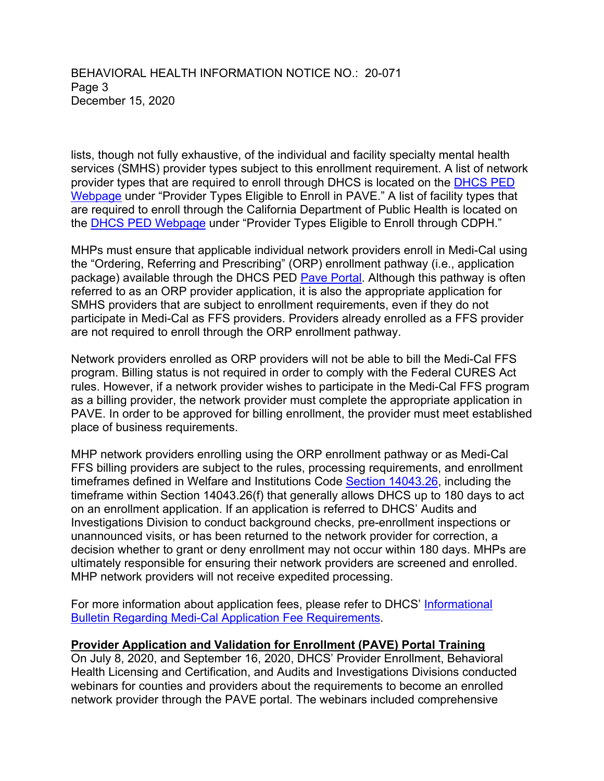BEHAVIORAL HEALTH INFORMATION NOTICE NO.: 20-071 Page 3 December 15, 2020

lists, though not fully exhaustive, of the individual and facility specialty mental health services (SMHS) provider types subject to this enrollment requirement. A list of network provider types that are required to enroll through DHCS is located on the [DHCS PED](https://www.dhcs.ca.gov/provgovpart/Pages/Provider-Enrollment-Options.aspx)  [Webpage](https://www.dhcs.ca.gov/provgovpart/Pages/Provider-Enrollment-Options.aspx) under "Provider Types Eligible to Enroll in PAVE." A list of facility types that are required to enroll through the California Department of Public Health is located on the [DHCS PED Webpage](https://www.dhcs.ca.gov/provgovpart/Pages/Provider-Enrollment-Options.aspx) under "Provider Types Eligible to Enroll through CDPH."

MHPs must ensure that applicable individual network providers enroll in Medi-Cal using the "Ordering, Referring and Prescribing" (ORP) enrollment pathway (i.e., application package) available through the DHCS PED [Pave Portal.](https://www.dhcs.ca.gov/provgovpart/Pages/PAVE.aspx) Although this pathway is often referred to as an ORP provider application, it is also the appropriate application for SMHS providers that are subject to enrollment requirements, even if they do not participate in Medi-Cal as FFS providers. Providers already enrolled as a FFS provider are not required to enroll through the ORP enrollment pathway.

Network providers enrolled as ORP providers will not be able to bill the Medi-Cal FFS program. Billing status is not required in order to comply with the Federal CURES Act rules. However, if a network provider wishes to participate in the Medi-Cal FFS program as a billing provider, the network provider must complete the appropriate application in PAVE. In order to be approved for billing enrollment, the provider must meet established place of business requirements.

MHP network providers enrolling using the ORP enrollment pathway or as Medi-Cal FFS billing providers are subject to the rules, processing requirements, and enrollment timeframes defined in Welfare and Institutions Code [Section 14043.26,](https://leginfo.legislature.ca.gov/faces/codes_displaySection.xhtml?lawCode=WIC&sectionNum=14043.26.) including the timeframe within Section 14043.26(f) that generally allows DHCS up to 180 days to act on an enrollment application. If an application is referred to DHCS' Audits and Investigations Division to conduct background checks, pre-enrollment inspections or unannounced visits, or has been returned to the network provider for correction, a decision whether to grant or deny enrollment may not occur within 180 days. MHPs are ultimately responsible for ensuring their network providers are screened and enrolled. MHP network providers will not receive expedited processing.

For more information about application fees, please refer to DHCS' [Informational](https://files.medi-cal.ca.gov/pubsdoco/Publications/masters-other/provappsenroll/PED_Supp_App_Fee_24338.pdf) [Bulletin Regarding Medi-Cal Application Fee Requirements.](https://files.medi-cal.ca.gov/pubsdoco/Publications/masters-other/provappsenroll/PED_Supp_App_Fee_24338.pdf)

### **Provider Application and Validation for Enrollment (PAVE) Portal Training**

On July 8, 2020, and September 16, 2020, DHCS' Provider Enrollment, Behavioral Health Licensing and Certification, and Audits and Investigations Divisions conducted webinars for counties and providers about the requirements to become an enrolled network provider through the PAVE portal. The webinars included comprehensive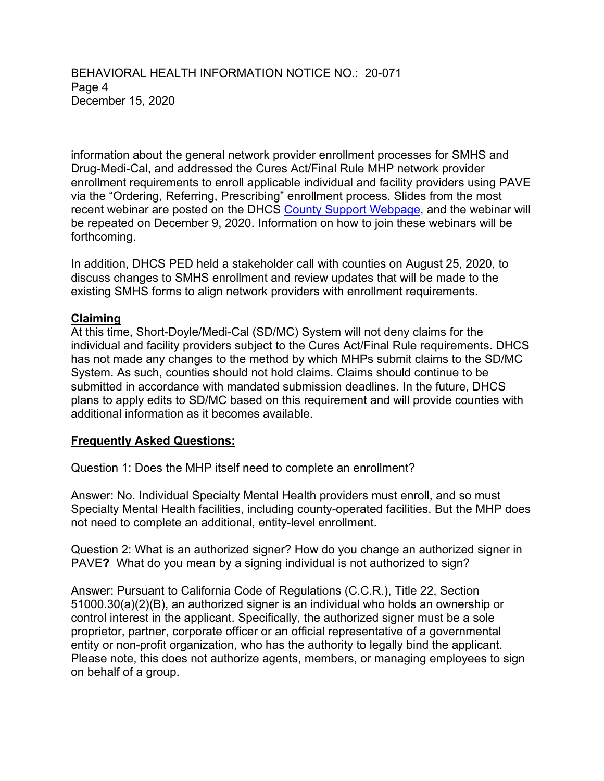BEHAVIORAL HEALTH INFORMATION NOTICE NO.: 20-071 Page 4 December 15, 2020

information about the general network provider enrollment processes for SMHS and Drug-Medi-Cal, and addressed the Cures Act/Final Rule MHP network provider enrollment requirements to enroll applicable individual and facility providers using PAVE via the "Ordering, Referring, Prescribing" enrollment process. Slides from the most recent webinar are posted on the DHCS [County Support Webpage,](https://www.dhcs.ca.gov/Documents/Provider-Webinar-9-11-20.pdf) and the webinar will be repeated on December 9, 2020. Information on how to join these webinars will be forthcoming.

In addition, DHCS PED held a stakeholder call with counties on August 25, 2020, to discuss changes to SMHS enrollment and review updates that will be made to the existing SMHS forms to align network providers with enrollment requirements.

### **Claiming**

At this time, Short-Doyle/Medi-Cal (SD/MC) System will not deny claims for the individual and facility providers subject to the Cures Act/Final Rule requirements. DHCS has not made any changes to the method by which MHPs submit claims to the SD/MC System. As such, counties should not hold claims. Claims should continue to be submitted in accordance with mandated submission deadlines. In the future, DHCS plans to apply edits to SD/MC based on this requirement and will provide counties with additional information as it becomes available.

## **Frequently Asked Questions:**

Question 1: Does the MHP itself need to complete an enrollment?

Answer: No. Individual Specialty Mental Health providers must enroll, and so must Specialty Mental Health facilities, including county-operated facilities. But the MHP does not need to complete an additional, entity-level enrollment.

Question 2: What is an authorized signer? How do you change an authorized signer in PAVE**?** What do you mean by a signing individual is not authorized to sign?

Answer: Pursuant to California Code of Regulations (C.C.R.), Title 22, Section 51000.30(a)(2)(B), an authorized signer is an individual who holds an ownership or control interest in the applicant. Specifically, the authorized signer must be a sole proprietor, partner, corporate officer or an official representative of a governmental entity or non-profit organization, who has the authority to legally bind the applicant. Please note, this does not authorize agents, members, or managing employees to sign on behalf of a group.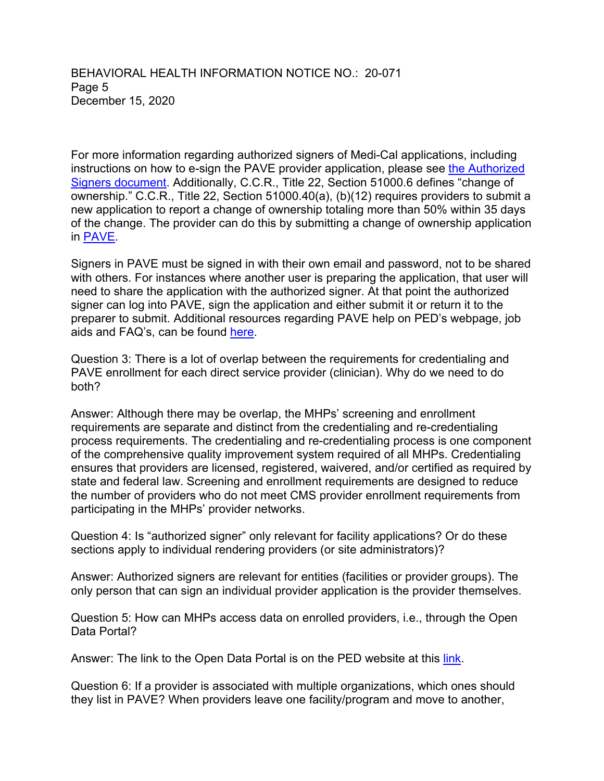BEHAVIORAL HEALTH INFORMATION NOTICE NO.: 20-071 Page 5 December 15, 2020

For more information regarding authorized signers of Medi-Cal applications, including instructions on how to e-sign the PAVE provider application, please see [the Authorized](https://www.dhcs.ca.gov/provgovpart/Documents/PAVE_Project_for_Provider_Enrollment_Division/AuthorizedSignerInstructionsWREG.pdf)  [Signers document.](https://www.dhcs.ca.gov/provgovpart/Documents/PAVE_Project_for_Provider_Enrollment_Division/AuthorizedSignerInstructionsWREG.pdf) Additionally, C.C.R., Title 22, Section 51000.6 defines "change of ownership." C.C.R., Title 22, Section 51000.40(a), (b)(12) requires providers to submit a new application to report a change of ownership totaling more than 50% within 35 days of the change. The provider can do this by submitting a change of ownership application in [PAVE.](https://pave.dhcs.ca.gov/sso/login.do?)

Signers in PAVE must be signed in with their own email and password, not to be shared with others. For instances where another user is preparing the application, that user will need to share the application with the authorized signer. At that point the authorized signer can log into PAVE, sign the application and either submit it or return it to the preparer to submit. Additional resources regarding PAVE help on PED's webpage, job aids and FAQ's, can be found [here.](https://www.dhcs.ca.gov/provgovpart/Pages/PAVE.aspx)

Question 3: There is a lot of overlap between the requirements for credentialing and PAVE enrollment for each direct service provider (clinician). Why do we need to do both?

Answer: Although there may be overlap, the MHPs' screening and enrollment requirements are separate and distinct from the credentialing and re-credentialing process requirements. The credentialing and re-credentialing process is one component of the comprehensive quality improvement system required of all MHPs. Credentialing ensures that providers are licensed, registered, waivered, and/or certified as required by state and federal law. Screening and enrollment requirements are designed to reduce the number of providers who do not meet CMS provider enrollment requirements from participating in the MHPs' provider networks.

Question 4: Is "authorized signer" only relevant for facility applications? Or do these sections apply to individual rendering providers (or site administrators)?

Answer: Authorized signers are relevant for entities (facilities or provider groups). The only person that can sign an individual provider application is the provider themselves.

Question 5: How can MHPs access data on enrolled providers, i.e., through the Open Data Portal?

Answer: The link to the Open Data Portal is on the PED website at this [link.](https://data.chhs.ca.gov/dataset/profile-of-enrolled-medi-cal-fee-for-service-ffs-providers/resource/a9967f81-aaa4-475e-8cd8-459dcc1be2df)

Question 6: If a provider is associated with multiple organizations, which ones should they list in PAVE? When providers leave one facility/program and move to another,